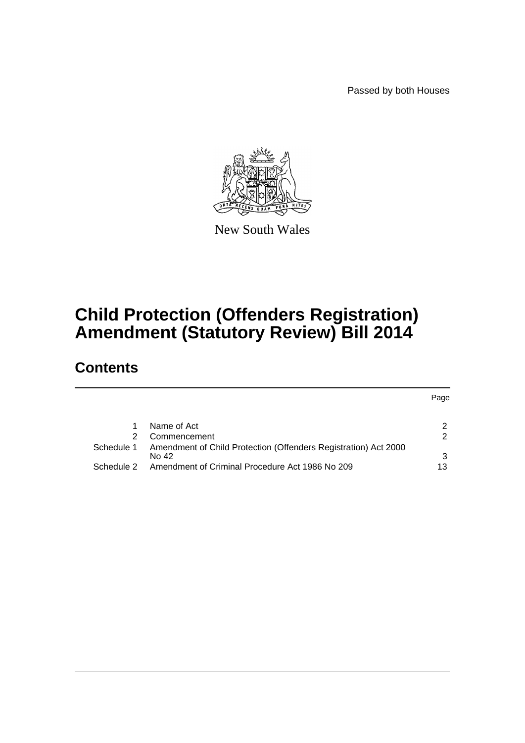Passed by both Houses



New South Wales

# **Child Protection (Offenders Registration) Amendment (Statutory Review) Bill 2014**

# **Contents**

|            |                                                                          | Page |
|------------|--------------------------------------------------------------------------|------|
|            |                                                                          |      |
|            | Name of Act                                                              |      |
|            | Commencement                                                             |      |
| Schedule 1 | Amendment of Child Protection (Offenders Registration) Act 2000<br>No 42 | 3    |
| Schedule 2 | Amendment of Criminal Procedure Act 1986 No 209                          | 13   |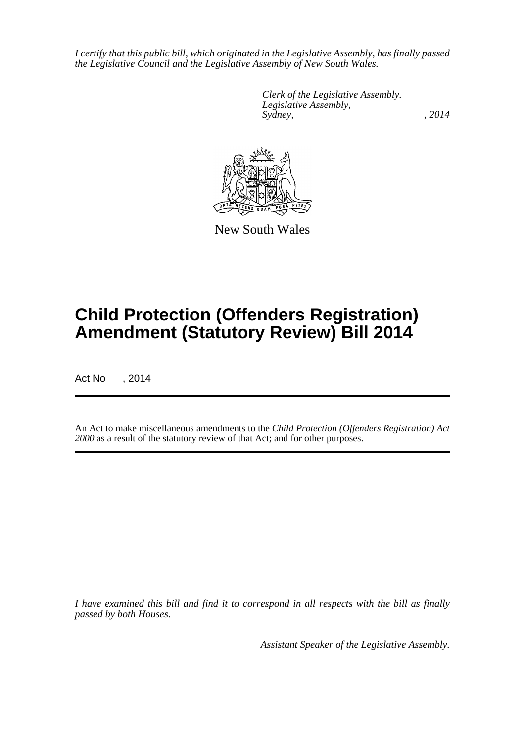*I certify that this public bill, which originated in the Legislative Assembly, has finally passed the Legislative Council and the Legislative Assembly of New South Wales.*

> *Clerk of the Legislative Assembly. Legislative Assembly, Sydney,* , 2014



New South Wales

# **Child Protection (Offenders Registration) Amendment (Statutory Review) Bill 2014**

Act No , 2014

An Act to make miscellaneous amendments to the *Child Protection (Offenders Registration) Act 2000* as a result of the statutory review of that Act; and for other purposes.

*I have examined this bill and find it to correspond in all respects with the bill as finally passed by both Houses.*

*Assistant Speaker of the Legislative Assembly.*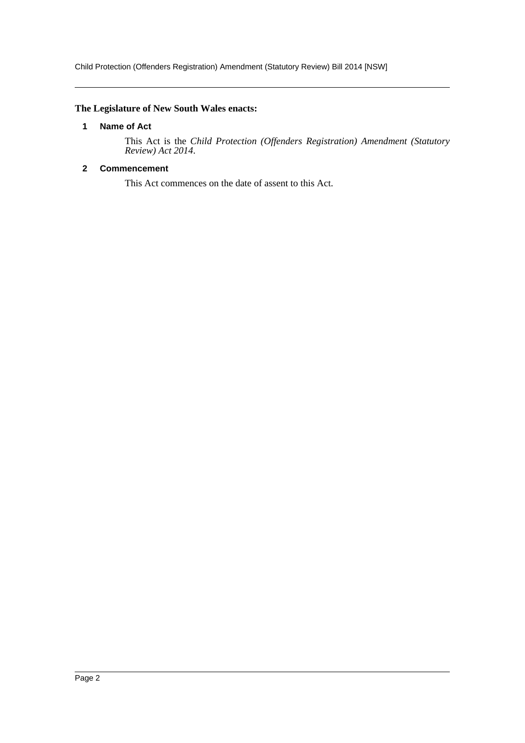Child Protection (Offenders Registration) Amendment (Statutory Review) Bill 2014 [NSW]

# <span id="page-2-0"></span>**The Legislature of New South Wales enacts:**

#### **1 Name of Act**

This Act is the *Child Protection (Offenders Registration) Amendment (Statutory Review) Act 2014*.

# <span id="page-2-1"></span>**2 Commencement**

This Act commences on the date of assent to this Act.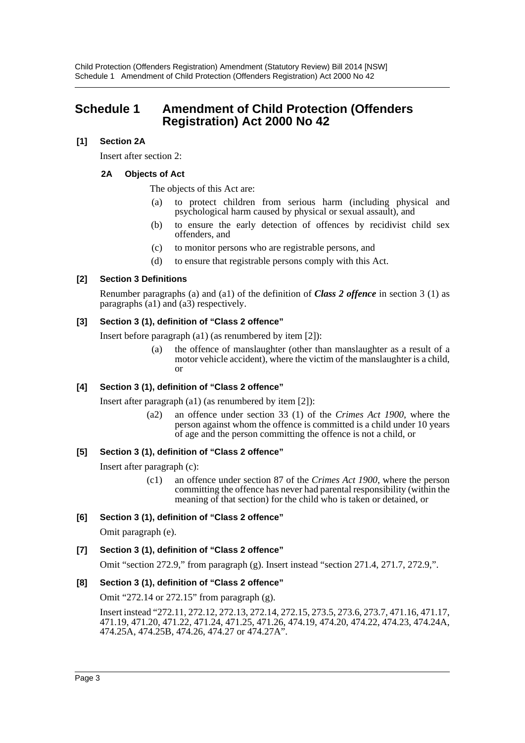# <span id="page-3-0"></span>**Schedule 1 Amendment of Child Protection (Offenders Registration) Act 2000 No 42**

# **[1] Section 2A**

Insert after section 2:

# **2A Objects of Act**

The objects of this Act are:

- (a) to protect children from serious harm (including physical and psychological harm caused by physical or sexual assault), and
- (b) to ensure the early detection of offences by recidivist child sex offenders, and
- (c) to monitor persons who are registrable persons, and
- (d) to ensure that registrable persons comply with this Act.

#### **[2] Section 3 Definitions**

Renumber paragraphs (a) and (a1) of the definition of *Class 2 offence* in section 3 (1) as paragraphs (a1) and (a3) respectively.

# **[3] Section 3 (1), definition of "Class 2 offence"**

Insert before paragraph (a1) (as renumbered by item [2]):

(a) the offence of manslaughter (other than manslaughter as a result of a motor vehicle accident), where the victim of the manslaughter is a child, or

# **[4] Section 3 (1), definition of "Class 2 offence"**

Insert after paragraph (a1) (as renumbered by item [2]):

(a2) an offence under section 33 (1) of the *Crimes Act 1900*, where the person against whom the offence is committed is a child under 10 years of age and the person committing the offence is not a child, or

# **[5] Section 3 (1), definition of "Class 2 offence"**

Insert after paragraph (c):

(c1) an offence under section 87 of the *Crimes Act 1900*, where the person committing the offence has never had parental responsibility (within the meaning of that section) for the child who is taken or detained, or

# **[6] Section 3 (1), definition of "Class 2 offence"**

Omit paragraph (e).

# **[7] Section 3 (1), definition of "Class 2 offence"**

Omit "section 272.9," from paragraph (g). Insert instead "section 271.4, 271.7, 272.9,".

# **[8] Section 3 (1), definition of "Class 2 offence"**

Omit "272.14 or 272.15" from paragraph (g).

Insert instead "272.11, 272.12, 272.13, 272.14, 272.15, 273.5, 273.6, 273.7, 471.16, 471.17, 471.19, 471.20, 471.22, 471.24, 471.25, 471.26, 474.19, 474.20, 474.22, 474.23, 474.24A, 474.25A, 474.25B, 474.26, 474.27 or 474.27A".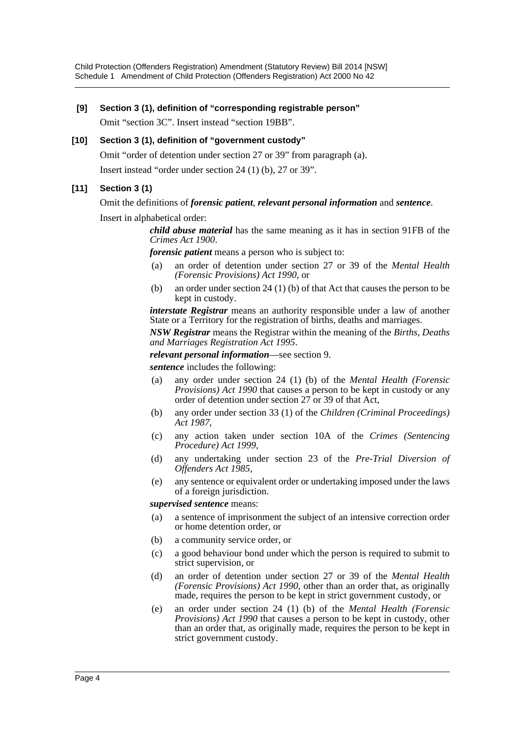Child Protection (Offenders Registration) Amendment (Statutory Review) Bill 2014 [NSW] Schedule 1 Amendment of Child Protection (Offenders Registration) Act 2000 No 42

#### **[9] Section 3 (1), definition of "corresponding registrable person"**

Omit "section 3C". Insert instead "section 19BB".

#### **[10] Section 3 (1), definition of "government custody"**

Omit "order of detention under section 27 or 39" from paragraph (a).

Insert instead "order under section 24 (1) (b), 27 or 39".

#### **[11] Section 3 (1)**

Omit the definitions of *forensic patient*, *relevant personal information* and *sentence*.

Insert in alphabetical order:

*child abuse material* has the same meaning as it has in section 91FB of the *Crimes Act 1900*.

*forensic patient* means a person who is subject to:

- (a) an order of detention under section 27 or 39 of the *Mental Health (Forensic Provisions) Act 1990*, or
- (b) an order under section 24 (1) (b) of that Act that causes the person to be kept in custody.

*interstate Registrar* means an authority responsible under a law of another State or a Territory for the registration of births, deaths and marriages.

*NSW Registrar* means the Registrar within the meaning of the *Births, Deaths and Marriages Registration Act 1995*.

*relevant personal information*—see section 9.

*sentence* includes the following:

- (a) any order under section 24 (1) (b) of the *Mental Health (Forensic Provisions) Act 1990* that causes a person to be kept in custody or any order of detention under section 27 or 39 of that Act,
- (b) any order under section 33 (1) of the *Children (Criminal Proceedings) Act 1987*,
- (c) any action taken under section 10A of the *Crimes (Sentencing Procedure) Act 1999*,
- (d) any undertaking under section 23 of the *Pre-Trial Diversion of Offenders Act 1985*,
- (e) any sentence or equivalent order or undertaking imposed under the laws of a foreign jurisdiction.

#### *supervised sentence* means:

- (a) a sentence of imprisonment the subject of an intensive correction order or home detention order, or
- (b) a community service order, or
- (c) a good behaviour bond under which the person is required to submit to strict supervision, or
- (d) an order of detention under section 27 or 39 of the *Mental Health (Forensic Provisions) Act 1990*, other than an order that, as originally made, requires the person to be kept in strict government custody, or
- (e) an order under section 24 (1) (b) of the *Mental Health (Forensic Provisions) Act 1990* that causes a person to be kept in custody, other than an order that, as originally made, requires the person to be kept in strict government custody.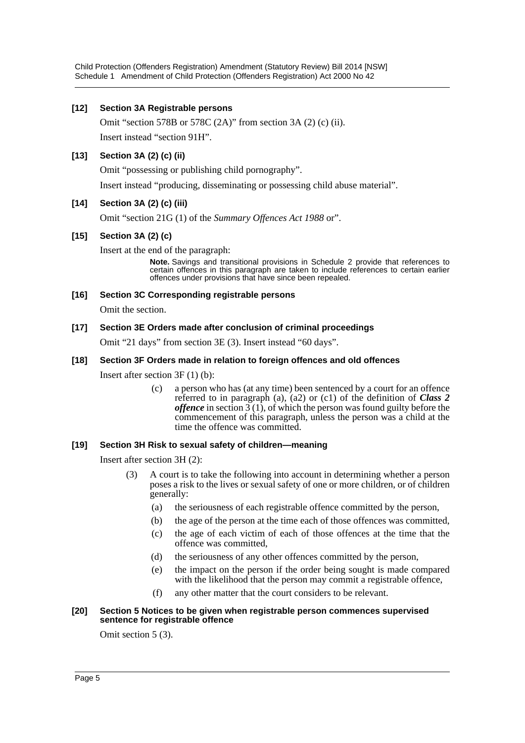Child Protection (Offenders Registration) Amendment (Statutory Review) Bill 2014 [NSW] Schedule 1 Amendment of Child Protection (Offenders Registration) Act 2000 No 42

#### **[12] Section 3A Registrable persons**

Omit "section 578B or 578C (2A)" from section 3A (2) (c) (ii). Insert instead "section 91H".

#### **[13] Section 3A (2) (c) (ii)**

Omit "possessing or publishing child pornography".

Insert instead "producing, disseminating or possessing child abuse material".

#### **[14] Section 3A (2) (c) (iii)**

Omit "section 21G (1) of the *Summary Offences Act 1988* or".

#### **[15] Section 3A (2) (c)**

Insert at the end of the paragraph:

**Note.** Savings and transitional provisions in Schedule 2 provide that references to certain offences in this paragraph are taken to include references to certain earlier offences under provisions that have since been repealed.

#### **[16] Section 3C Corresponding registrable persons**

Omit the section.

#### **[17] Section 3E Orders made after conclusion of criminal proceedings**

Omit "21 days" from section 3E (3). Insert instead "60 days".

#### **[18] Section 3F Orders made in relation to foreign offences and old offences**

Insert after section 3F (1) (b):

(c) a person who has (at any time) been sentenced by a court for an offence referred to in paragraph (a), (a2) or (c1) of the definition of *Class 2 offence* in section  $3(1)$ , of which the person was found guilty before the commencement of this paragraph, unless the person was a child at the time the offence was committed.

#### **[19] Section 3H Risk to sexual safety of children—meaning**

Insert after section 3H (2):

- (3) A court is to take the following into account in determining whether a person poses a risk to the lives or sexual safety of one or more children, or of children generally:
	- (a) the seriousness of each registrable offence committed by the person,
	- (b) the age of the person at the time each of those offences was committed,
	- (c) the age of each victim of each of those offences at the time that the offence was committed,
	- (d) the seriousness of any other offences committed by the person,
	- (e) the impact on the person if the order being sought is made compared with the likelihood that the person may commit a registrable offence,
	- (f) any other matter that the court considers to be relevant.

#### **[20] Section 5 Notices to be given when registrable person commences supervised sentence for registrable offence**

Omit section 5 (3).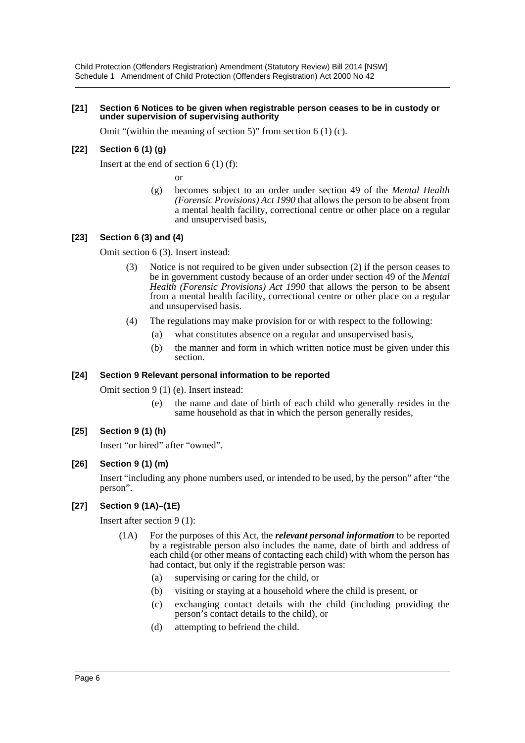#### **[21] Section 6 Notices to be given when registrable person ceases to be in custody or under supervision of supervising authority**

Omit "(within the meaning of section 5)" from section 6 (1) (c).

#### **[22] Section 6 (1) (g)**

Insert at the end of section  $6(1)$  (f):

or

(g) becomes subject to an order under section 49 of the *Mental Health (Forensic Provisions) Act 1990* that allows the person to be absent from a mental health facility, correctional centre or other place on a regular and unsupervised basis,

#### **[23] Section 6 (3) and (4)**

Omit section 6 (3). Insert instead:

- (3) Notice is not required to be given under subsection (2) if the person ceases to be in government custody because of an order under section 49 of the *Mental Health (Forensic Provisions) Act 1990* that allows the person to be absent from a mental health facility, correctional centre or other place on a regular and unsupervised basis.
- (4) The regulations may make provision for or with respect to the following:
	- (a) what constitutes absence on a regular and unsupervised basis,
	- (b) the manner and form in which written notice must be given under this section.

#### **[24] Section 9 Relevant personal information to be reported**

Omit section 9 (1) (e). Insert instead:

(e) the name and date of birth of each child who generally resides in the same household as that in which the person generally resides,

### **[25] Section 9 (1) (h)**

Insert "or hired" after "owned".

#### **[26] Section 9 (1) (m)**

Insert "including any phone numbers used, or intended to be used, by the person" after "the person".

#### **[27] Section 9 (1A)–(1E)**

Insert after section 9 (1):

- (1A) For the purposes of this Act, the *relevant personal information* to be reported by a registrable person also includes the name, date of birth and address of each child (or other means of contacting each child) with whom the person has had contact, but only if the registrable person was:
	- (a) supervising or caring for the child, or
	- (b) visiting or staying at a household where the child is present, or
	- (c) exchanging contact details with the child (including providing the person's contact details to the child), or
	- (d) attempting to befriend the child.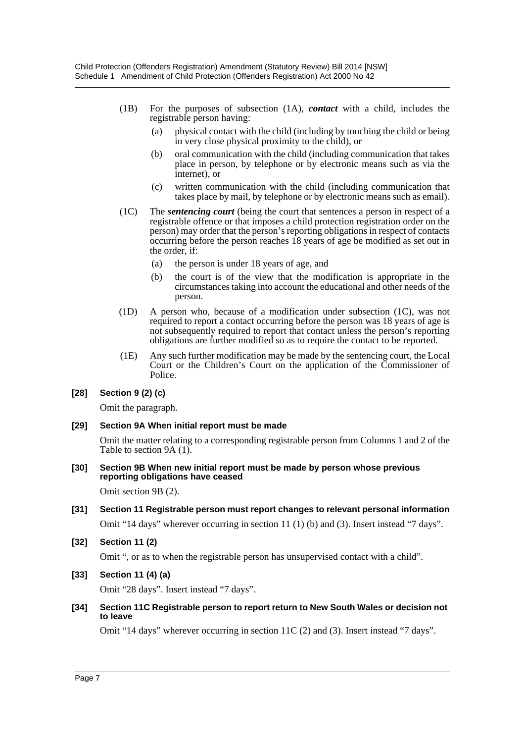- (1B) For the purposes of subsection (1A), *contact* with a child, includes the registrable person having:
	- (a) physical contact with the child (including by touching the child or being in very close physical proximity to the child), or
	- (b) oral communication with the child (including communication that takes place in person, by telephone or by electronic means such as via the internet), or
	- (c) written communication with the child (including communication that takes place by mail, by telephone or by electronic means such as email).
- (1C) The *sentencing court* (being the court that sentences a person in respect of a registrable offence or that imposes a child protection registration order on the person) may order that the person's reporting obligations in respect of contacts occurring before the person reaches 18 years of age be modified as set out in the order, if:
	- (a) the person is under 18 years of age, and
	- (b) the court is of the view that the modification is appropriate in the circumstances taking into account the educational and other needs of the person.
- (1D) A person who, because of a modification under subsection (1C), was not required to report a contact occurring before the person was 18 years of age is not subsequently required to report that contact unless the person's reporting obligations are further modified so as to require the contact to be reported.
- (1E) Any such further modification may be made by the sentencing court, the Local Court or the Children's Court on the application of the Commissioner of Police.

#### **[28] Section 9 (2) (c)**

Omit the paragraph.

#### **[29] Section 9A When initial report must be made**

Omit the matter relating to a corresponding registrable person from Columns 1 and 2 of the Table to section 9A (1).

**[30] Section 9B When new initial report must be made by person whose previous reporting obligations have ceased**

Omit section 9B (2).

**[31] Section 11 Registrable person must report changes to relevant personal information**

Omit "14 days" wherever occurring in section 11 (1) (b) and (3). Insert instead "7 days".

**[32] Section 11 (2)**

Omit ", or as to when the registrable person has unsupervised contact with a child".

**[33] Section 11 (4) (a)**

Omit "28 days". Insert instead "7 days".

#### **[34] Section 11C Registrable person to report return to New South Wales or decision not to leave**

Omit "14 days" wherever occurring in section 11C (2) and (3). Insert instead "7 days".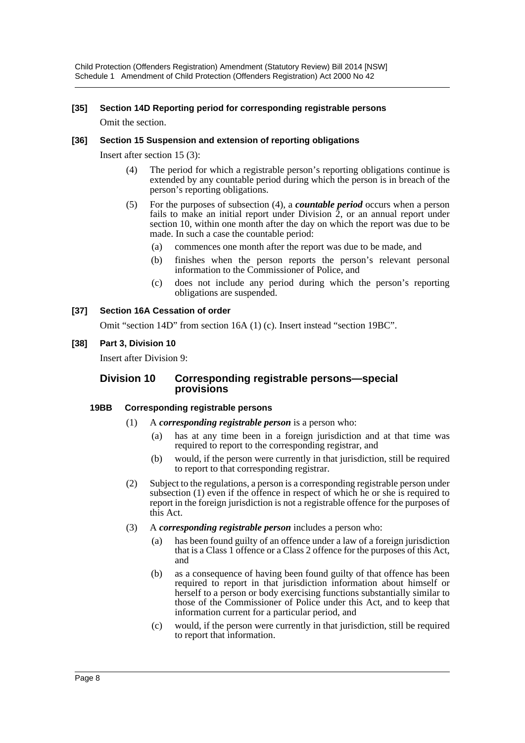Child Protection (Offenders Registration) Amendment (Statutory Review) Bill 2014 [NSW] Schedule 1 Amendment of Child Protection (Offenders Registration) Act 2000 No 42

#### **[35] Section 14D Reporting period for corresponding registrable persons**

Omit the section.

#### **[36] Section 15 Suspension and extension of reporting obligations**

Insert after section 15 (3):

- (4) The period for which a registrable person's reporting obligations continue is extended by any countable period during which the person is in breach of the person's reporting obligations.
- (5) For the purposes of subsection (4), a *countable period* occurs when a person fails to make an initial report under Division 2, or an annual report under section 10, within one month after the day on which the report was due to be made. In such a case the countable period:
	- (a) commences one month after the report was due to be made, and
	- (b) finishes when the person reports the person's relevant personal information to the Commissioner of Police, and
	- (c) does not include any period during which the person's reporting obligations are suspended.

#### **[37] Section 16A Cessation of order**

Omit "section 14D" from section 16A (1) (c). Insert instead "section 19BC".

#### **[38] Part 3, Division 10**

Insert after Division 9:

#### **Division 10 Corresponding registrable persons—special provisions**

#### **19BB Corresponding registrable persons**

- (1) A *corresponding registrable person* is a person who:
	- (a) has at any time been in a foreign jurisdiction and at that time was required to report to the corresponding registrar, and
	- (b) would, if the person were currently in that jurisdiction, still be required to report to that corresponding registrar.
- (2) Subject to the regulations, a person is a corresponding registrable person under subsection (1) even if the offence in respect of which he or she is required to report in the foreign jurisdiction is not a registrable offence for the purposes of this Act.
- (3) A *corresponding registrable person* includes a person who:
	- (a) has been found guilty of an offence under a law of a foreign jurisdiction that is a Class 1 offence or a Class 2 offence for the purposes of this Act, and
	- (b) as a consequence of having been found guilty of that offence has been required to report in that jurisdiction information about himself or herself to a person or body exercising functions substantially similar to those of the Commissioner of Police under this Act, and to keep that information current for a particular period, and
	- (c) would, if the person were currently in that jurisdiction, still be required to report that information.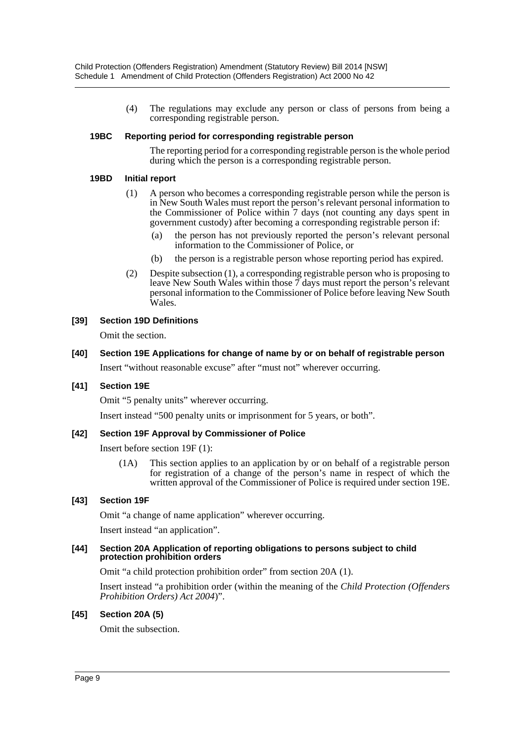(4) The regulations may exclude any person or class of persons from being a corresponding registrable person.

#### **19BC Reporting period for corresponding registrable person**

The reporting period for a corresponding registrable person is the whole period during which the person is a corresponding registrable person.

#### **19BD Initial report**

- (1) A person who becomes a corresponding registrable person while the person is in New South Wales must report the person's relevant personal information to the Commissioner of Police within 7 days (not counting any days spent in government custody) after becoming a corresponding registrable person if:
	- (a) the person has not previously reported the person's relevant personal information to the Commissioner of Police, or
	- (b) the person is a registrable person whose reporting period has expired.
- (2) Despite subsection (1), a corresponding registrable person who is proposing to leave New South Wales within those 7 days must report the person's relevant personal information to the Commissioner of Police before leaving New South Wales.

#### **[39] Section 19D Definitions**

Omit the section.

#### **[40] Section 19E Applications for change of name by or on behalf of registrable person**

Insert "without reasonable excuse" after "must not" wherever occurring.

#### **[41] Section 19E**

Omit "5 penalty units" wherever occurring.

Insert instead "500 penalty units or imprisonment for 5 years, or both".

#### **[42] Section 19F Approval by Commissioner of Police**

Insert before section 19F (1):

(1A) This section applies to an application by or on behalf of a registrable person for registration of a change of the person's name in respect of which the written approval of the Commissioner of Police is required under section 19E.

#### **[43] Section 19F**

Omit "a change of name application" wherever occurring.

Insert instead "an application".

#### **[44] Section 20A Application of reporting obligations to persons subject to child protection prohibition orders**

Omit "a child protection prohibition order" from section 20A (1).

Insert instead "a prohibition order (within the meaning of the *Child Protection (Offenders Prohibition Orders) Act 2004*)".

#### **[45] Section 20A (5)**

Omit the subsection.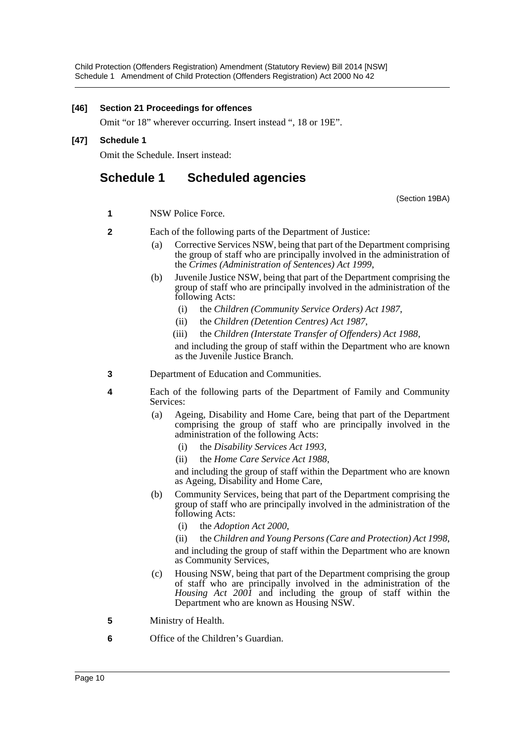#### **[46] Section 21 Proceedings for offences**

Omit "or 18" wherever occurring. Insert instead ", 18 or 19E".

### **[47] Schedule 1**

Omit the Schedule. Insert instead:

# **Schedule 1 Scheduled agencies**

(Section 19BA)

- **1** NSW Police Force.
- **2** Each of the following parts of the Department of Justice:
	- (a) Corrective Services NSW, being that part of the Department comprising the group of staff who are principally involved in the administration of the *Crimes (Administration of Sentences) Act 1999*,
	- (b) Juvenile Justice NSW, being that part of the Department comprising the group of staff who are principally involved in the administration of the following Acts:
		- (i) the *Children (Community Service Orders) Act 1987*,
		- (ii) the *Children (Detention Centres) Act 1987*,
		- (iii) the *Children (Interstate Transfer of Offenders) Act 1988*,

and including the group of staff within the Department who are known as the Juvenile Justice Branch.

- **3** Department of Education and Communities.
- **4** Each of the following parts of the Department of Family and Community Services:
	- (a) Ageing, Disability and Home Care, being that part of the Department comprising the group of staff who are principally involved in the administration of the following Acts:
		- (i) the *Disability Services Act 1993*,
		- (ii) the *Home Care Service Act 1988*,

and including the group of staff within the Department who are known as Ageing, Disability and Home Care,

- (b) Community Services, being that part of the Department comprising the group of staff who are principally involved in the administration of the following Acts:
	- (i) the *Adoption Act 2000*,

(ii) the *Children and Young Persons (Care and Protection) Act 1998*, and including the group of staff within the Department who are known as Community Services,

- (c) Housing NSW, being that part of the Department comprising the group of staff who are principally involved in the administration of the *Housing Act 2001* and including the group of staff within the Department who are known as Housing NSW.
- **5** Ministry of Health.
- **6** Office of the Children's Guardian.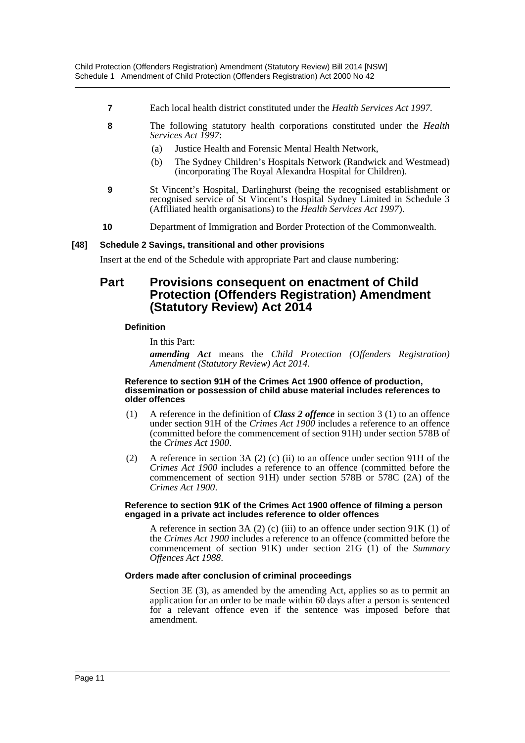- **7** Each local health district constituted under the *Health Services Act 1997.*
- **8** The following statutory health corporations constituted under the *Health Services Act 1997*:
	- (a) Justice Health and Forensic Mental Health Network,
	- (b) The Sydney Children's Hospitals Network (Randwick and Westmead) (incorporating The Royal Alexandra Hospital for Children).
- **9** St Vincent's Hospital, Darlinghurst (being the recognised establishment or recognised service of St Vincent's Hospital Sydney Limited in Schedule 3 (Affiliated health organisations) to the *Health Services Act 1997*).
- **10** Department of Immigration and Border Protection of the Commonwealth.

#### **[48] Schedule 2 Savings, transitional and other provisions**

Insert at the end of the Schedule with appropriate Part and clause numbering:

# **Part Provisions consequent on enactment of Child Protection (Offenders Registration) Amendment (Statutory Review) Act 2014**

#### **Definition**

In this Part:

*amending Act* means the *Child Protection (Offenders Registration) Amendment (Statutory Review) Act 2014*.

#### **Reference to section 91H of the Crimes Act 1900 offence of production, dissemination or possession of child abuse material includes references to older offences**

- (1) A reference in the definition of *Class 2 offence* in section 3 (1) to an offence under section 91H of the *Crimes Act 1900* includes a reference to an offence (committed before the commencement of section 91H) under section 578B of the *Crimes Act 1900*.
- (2) A reference in section 3A (2) (c) (ii) to an offence under section 91H of the *Crimes Act 1900* includes a reference to an offence (committed before the commencement of section 91H) under section 578B or 578C (2A) of the *Crimes Act 1900*.

#### **Reference to section 91K of the Crimes Act 1900 offence of filming a person engaged in a private act includes reference to older offences**

A reference in section 3A (2) (c) (iii) to an offence under section  $91K(1)$  of the *Crimes Act 1900* includes a reference to an offence (committed before the commencement of section 91K) under section 21G (1) of the *Summary Offences Act 1988*.

#### **Orders made after conclusion of criminal proceedings**

Section 3E (3), as amended by the amending Act, applies so as to permit an application for an order to be made within 60 days after a person is sentenced for a relevant offence even if the sentence was imposed before that amendment.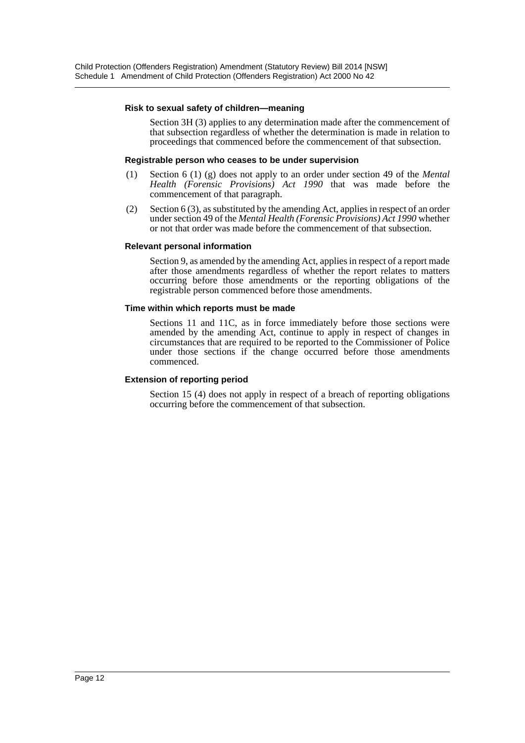#### **Risk to sexual safety of children—meaning**

Section 3H (3) applies to any determination made after the commencement of that subsection regardless of whether the determination is made in relation to proceedings that commenced before the commencement of that subsection.

#### **Registrable person who ceases to be under supervision**

- (1) Section 6 (1) (g) does not apply to an order under section 49 of the *Mental Health (Forensic Provisions) Act 1990* that was made before the commencement of that paragraph.
- (2) Section 6 (3), as substituted by the amending Act, applies in respect of an order under section 49 of the *Mental Health (Forensic Provisions) Act 1990* whether or not that order was made before the commencement of that subsection.

#### **Relevant personal information**

Section 9, as amended by the amending Act, applies in respect of a report made after those amendments regardless of whether the report relates to matters occurring before those amendments or the reporting obligations of the registrable person commenced before those amendments.

#### **Time within which reports must be made**

Sections 11 and 11C, as in force immediately before those sections were amended by the amending Act, continue to apply in respect of changes in circumstances that are required to be reported to the Commissioner of Police under those sections if the change occurred before those amendments commenced.

#### **Extension of reporting period**

Section 15 (4) does not apply in respect of a breach of reporting obligations occurring before the commencement of that subsection.